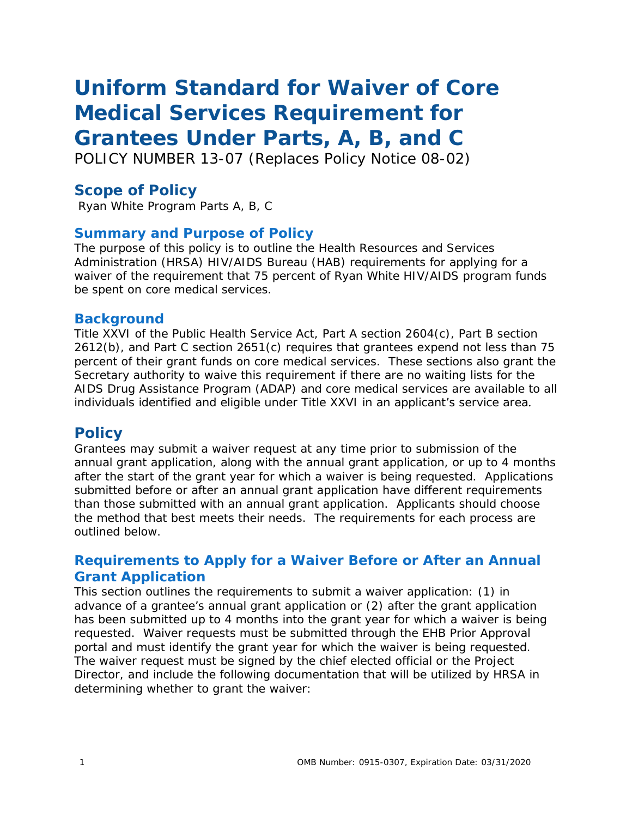# **Uniform Standard for Waiver of Core Medical Services Requirement for Grantees Under Parts, A, B, and C**

POLICY NUMBER 13-07 (Replaces Policy Notice 08-02)

# **Scope of Policy**

Ryan White Program Parts A, B, C

## **Summary and Purpose of Policy**

The purpose of this policy is to outline the Health Resources and Services Administration (HRSA) HIV/AIDS Bureau (HAB) requirements for applying for a waiver of the requirement that 75 percent of Ryan White HIV/AIDS program funds be spent on core medical services.

#### **Background**

Title XXVI of the Public Health Service Act, Part A section 2604(c), Part B section 2612(b), and Part C section 2651(c) requires that grantees expend not less than 75 percent of their grant funds on core medical services. These sections also grant the Secretary authority to waive this requirement if there are no waiting lists for the AIDS Drug Assistance Program (ADAP) and core medical services are available to all individuals identified and eligible under Title XXVI in an applicant's service area.

# **Policy**

Grantees may submit a waiver request at any time prior to submission of the annual grant application, along with the annual grant application, or up to 4 months after the start of the grant year for which a waiver is being requested. Applications submitted before or after an annual grant application have different requirements than those submitted with an annual grant application. Applicants should choose the method that best meets their needs. The requirements for each process are outlined below.

## **Requirements to Apply for a Waiver Before or After an Annual Grant Application**

This section outlines the requirements to submit a waiver application: (1) in advance of a grantee's annual grant application or (2) after the grant application has been submitted up to 4 months into the grant year for which a waiver is being requested. Waiver requests must be submitted through the EHB *Prior Approval* portal and must identify the grant year for which the waiver is being requested. The waiver request must be signed by the chief elected official or the Project Director, and include the following documentation that will be utilized by HRSA in determining whether to grant the waiver: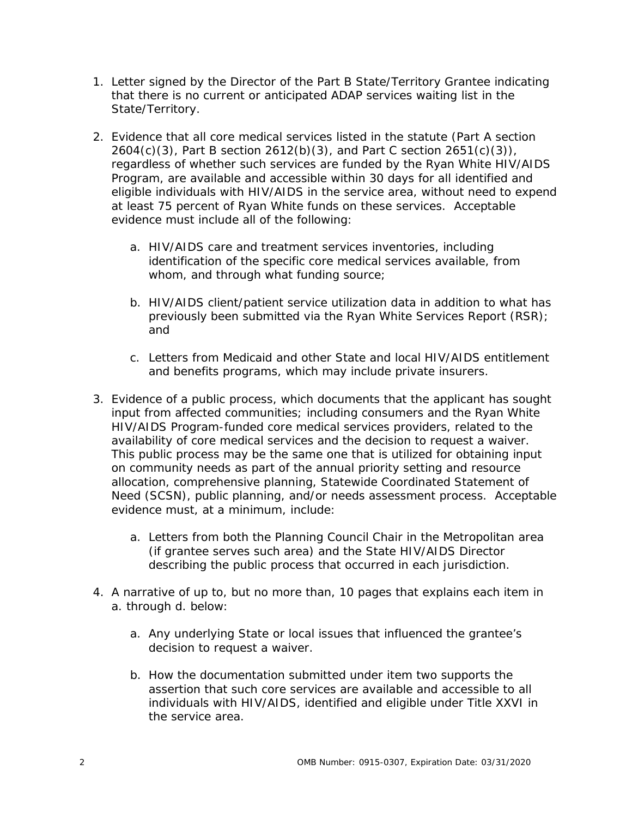- 1. Letter signed by the Director of the Part B State/Territory Grantee indicating that there is no current or anticipated ADAP services waiting list in the State/Territory.
- 2. Evidence that all core medical services listed in the statute (Part A section  $2604(c)(3)$ , Part B section  $2612(b)(3)$ , and Part C section  $2651(c)(3)$ , regardless of whether such services are funded by the Ryan White HIV/AIDS Program, are available and accessible within 30 days for all identified and eligible individuals with HIV/AIDS in the service area, without need to expend at least 75 percent of Ryan White funds on these services. Acceptable evidence must include all of the following:
	- a. HIV/AIDS care and treatment services inventories, including identification of the specific core medical services available, from whom, and through what funding source;
	- b. HIV/AIDS client/patient service utilization data in addition to what has previously been submitted via the Ryan White Services Report (RSR); and
	- c. Letters from Medicaid and other State and local HIV/AIDS entitlement and benefits programs, which may include private insurers.
- 3. Evidence of a public process, which documents that the applicant has sought input from affected communities; including consumers and the Ryan White HIV/AIDS Program-funded core medical services providers, related to the availability of core medical services and the decision to request a waiver. This public process may be the same one that is utilized for obtaining input on community needs as part of the annual priority setting and resource allocation, comprehensive planning, Statewide Coordinated Statement of Need (SCSN), public planning, and/or needs assessment process. Acceptable evidence must, at a minimum, include:
	- a. Letters from both the Planning Council Chair in the Metropolitan area (if grantee serves such area) and the State HIV/AIDS Director describing the public process that occurred in each jurisdiction.
- 4. A narrative of up to, but no more than, 10 pages that explains each item in a. through d. below:
	- a. Any underlying State or local issues that influenced the grantee's decision to request a waiver.
	- b. How the documentation submitted under item two supports the assertion that such core services are available and accessible to all individuals with HIV/AIDS, identified and eligible under Title XXVI in the service area.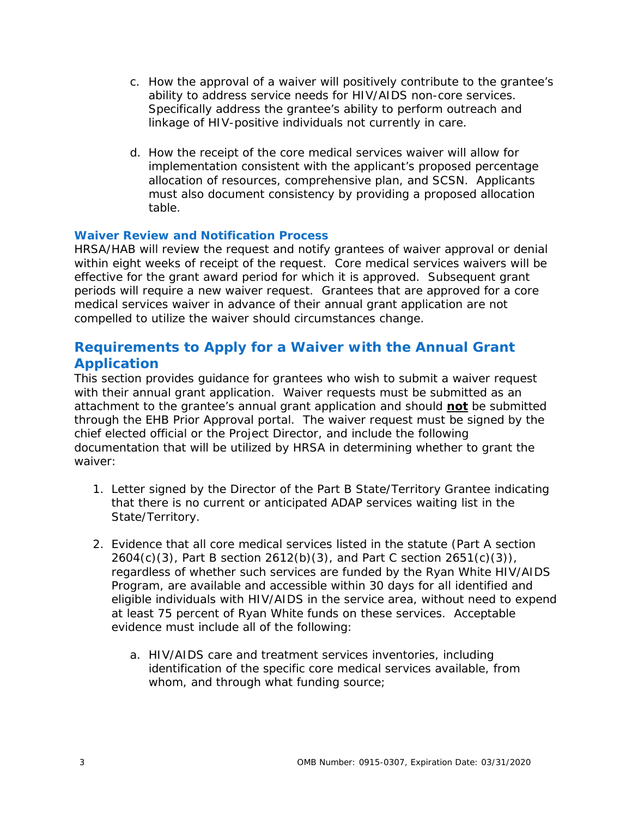- c. How the approval of a waiver will positively contribute to the grantee's ability to address service needs for HIV/AIDS non-core services. Specifically address the grantee's ability to perform outreach and linkage of HIV-positive individuals not currently in care.
- d. How the receipt of the core medical services waiver will allow for implementation consistent with the applicant's proposed percentage allocation of resources, comprehensive plan, and SCSN. Applicants must also document consistency by providing a proposed allocation table.

#### **Waiver Review and Notification Process**

HRSA/HAB will review the request and notify grantees of waiver approval or denial within eight weeks of receipt of the request. Core medical services waivers will be effective for the grant award period for which it is approved. Subsequent grant periods will require a new waiver request. Grantees that are approved for a core medical services waiver in advance of their annual grant application are not compelled to utilize the waiver should circumstances change.

# **Requirements to Apply for a Waiver with the Annual Grant Application**

This section provides guidance for grantees who wish to submit a waiver request with their annual grant application. Waiver requests must be submitted as an attachment to the grantee's annual grant application and should **not** be submitted through the EHB *Prior Approval* portal. The waiver request must be signed by the chief elected official or the Project Director, and include the following documentation that will be utilized by HRSA in determining whether to grant the waiver:

- 1. Letter signed by the Director of the Part B State/Territory Grantee indicating that there is no current or anticipated ADAP services waiting list in the State/Territory.
- 2. Evidence that all core medical services listed in the statute (Part A section 2604(c)(3), Part B section 2612(b)(3), and Part C section 2651(c)(3)), regardless of whether such services are funded by the Ryan White HIV/AIDS Program, are available and accessible within 30 days for all identified and eligible individuals with HIV/AIDS in the service area, without need to expend at least 75 percent of Ryan White funds on these services. Acceptable evidence must include all of the following:
	- a. HIV/AIDS care and treatment services inventories, including identification of the specific core medical services available, from whom, and through what funding source;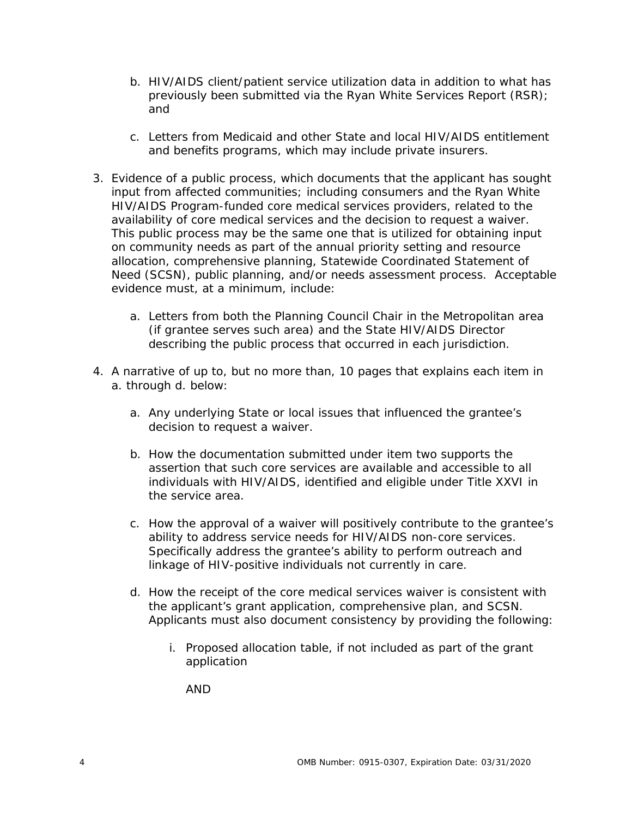- b. HIV/AIDS client/patient service utilization data in addition to what has previously been submitted via the Ryan White Services Report (RSR); and
- c. Letters from Medicaid and other State and local HIV/AIDS entitlement and benefits programs, which may include private insurers.
- 3. Evidence of a public process, which documents that the applicant has sought input from affected communities; including consumers and the Ryan White HIV/AIDS Program-funded core medical services providers, related to the availability of core medical services and the decision to request a waiver. This public process may be the same one that is utilized for obtaining input on community needs as part of the annual priority setting and resource allocation, comprehensive planning, Statewide Coordinated Statement of Need (SCSN), public planning, and/or needs assessment process. Acceptable evidence must, at a minimum, include:
	- a. Letters from both the Planning Council Chair in the Metropolitan area (if grantee serves such area) and the State HIV/AIDS Director describing the public process that occurred in each jurisdiction.
- 4. A narrative of up to, but no more than, 10 pages that explains each item in a. through d. below:
	- a. Any underlying State or local issues that influenced the grantee's decision to request a waiver.
	- b. How the documentation submitted under item two supports the assertion that such core services are available and accessible to all individuals with HIV/AIDS, identified and eligible under Title XXVI in the service area.
	- c. How the approval of a waiver will positively contribute to the grantee's ability to address service needs for HIV/AIDS non-core services. Specifically address the grantee's ability to perform outreach and linkage of HIV-positive individuals not currently in care.
	- d. How the receipt of the core medical services waiver is consistent with the applicant's grant application, comprehensive plan, and SCSN. Applicants must also document consistency by providing the following:
		- i. Proposed allocation table, if not included as part of the grant application

AND